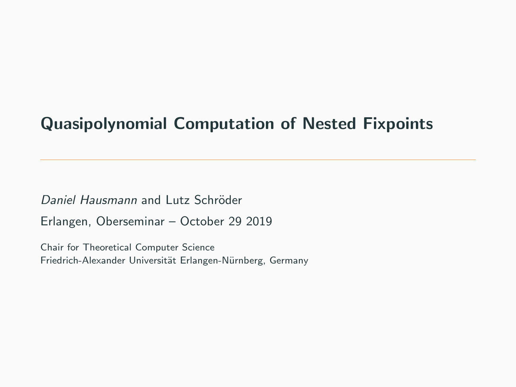# Quasipolynomial Computation of Nested Fixpoints

Daniel Hausmann and Lutz Schröder Erlangen, Oberseminar – October 29 2019

Chair for Theoretical Computer Science Friedrich-Alexander Universität Erlangen-Nürnberg, Germany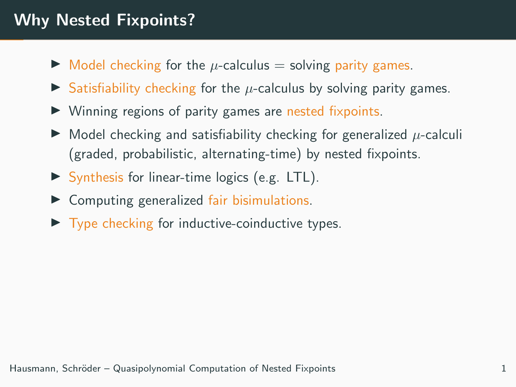# Why Nested Fixpoints?

- $\triangleright$  Model checking for the  $\mu$ -calculus = solving parity games.
- $\triangleright$  Satisfiability checking for the  $\mu$ -calculus by solving parity games.
- $\triangleright$  Winning regions of parity games are nested fixpoints.
- $\triangleright$  Model checking and satisfiability checking for generalized  $\mu$ -calculi (graded, probabilistic, alternating-time) by nested fixpoints.
- $\triangleright$  Synthesis for linear-time logics (e.g. LTL).
- $\triangleright$  Computing generalized fair bisimulations.
- $\triangleright$  Type checking for inductive-coinductive types.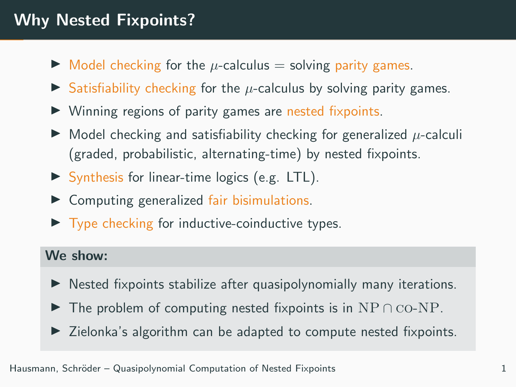# Why Nested Fixpoints?

- $\triangleright$  Model checking for the  $\mu$ -calculus = solving parity games.
- Satisfiability checking for the  $\mu$ -calculus by solving parity games.
- $\triangleright$  Winning regions of parity games are nested fixpoints.
- $\triangleright$  Model checking and satisfiability checking for generalized  $\mu$ -calculi (graded, probabilistic, alternating-time) by nested fixpoints.
- $\triangleright$  Synthesis for linear-time logics (e.g. LTL).
- $\triangleright$  Computing generalized fair bisimulations.
- $\triangleright$  Type checking for inductive-coinductive types.

### We show:

- $\blacktriangleright$  Nested fixpoints stabilize after quasipolynomially many iterations.
- $\triangleright$  The problem of computing nested fixpoints is in NP  $\cap$  co-NP.
- $\triangleright$  Zielonka's algorithm can be adapted to compute nested fixpoints.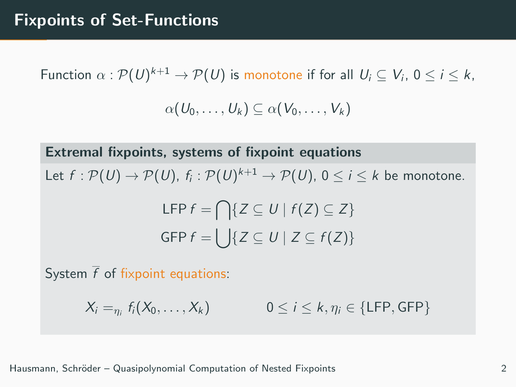Function  $\alpha: \mathcal{P}(U)^{k+1} \to \mathcal{P}(U)$  is monotone if for all  $\,U_i \subseteq V_i, \, 0 \leq i \leq k,$ 

$$
\alpha(U_0,\ldots,U_k)\subseteq \alpha(V_0,\ldots,V_k)
$$

Extremal fixpoints, systems of fixpoint equations

Let  $f:\mathcal{P}(U)\to \mathcal{P}(U),$   $f_i:\mathcal{P}(U)^{k+1}\to \mathcal{P}(U),$   $0\leq i\leq k$  be monotone.

$$
\mathsf{LFP} \, f = \bigcap \{ Z \subseteq U \mid f(Z) \subseteq Z \}
$$
\n
$$
\mathsf{GFP} \, f = \bigcup \{ Z \subseteq U \mid Z \subseteq f(Z) \}
$$

System  $\overline{f}$  of fixpoint equations:

 $X_i =_{n_i} f_i(X_0, \ldots, X_k)$  $0 \leq i \leq k, \eta_i \in \{\text{LFP}, \text{GFP}\}\$ 

Hausmann, Schr¨oder – Quasipolynomial Computation of Nested Fixpoints 2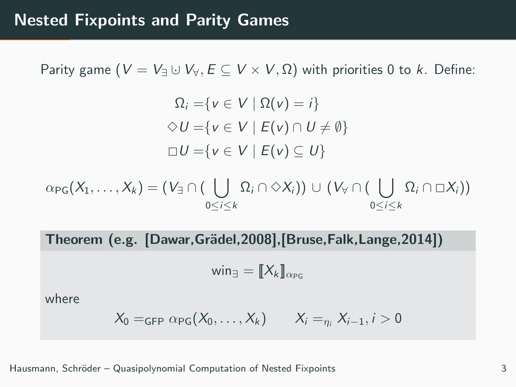Parity game ( $V = V_{\exists} \cup V_{\forall}, E \subseteq V \times V, \Omega$ ) with priorities 0 to k. Define:

$$
\Omega_i = \{ v \in V \mid \Omega(v) = i \}
$$
  
\n
$$
\diamond U = \{ v \in V \mid E(v) \cap U \neq \emptyset \}
$$
  
\n
$$
\square U = \{ v \in V \mid E(v) \subseteq U \}
$$

 $\alpha_{\text{PG}}(X_1,\ldots,X_k)=(V_{\exists}\cap(\bigcup \ \Omega_i\cap\Diamond X_i))\,\cup\,(\,V_{\forall}\cap(\bigcup \ \Omega_i\cap\Box X_i))$ 0≤i≤k  $0 < i < k$ 

Theorem (e.g. [Dawar, Grädel, 2008], [Bruse, Falk, Lange, 2014])

$$
\mathsf{win}_{\exists} = [\![X_k]\!]_{\alpha_{PG}}
$$

where

$$
X_0 =_{\mathsf{GFP}} \alpha_{\mathsf{PG}}(X_0,\ldots,X_k) \qquad X_i =_{\eta_i} X_{i-1}, i > 0
$$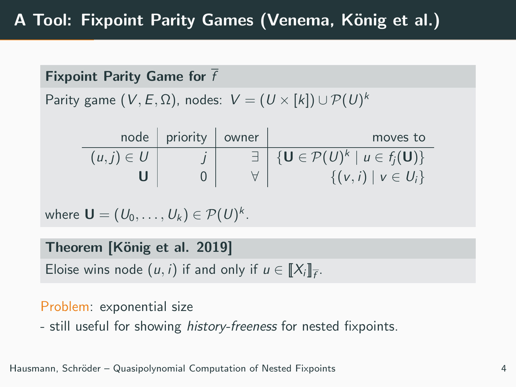Fixpoint Parity Game for  $\overline{f}$ 

Parity game  $(V,E,\Omega)$ , nodes:  $\;V=(\,U\times[k])\cup \mathcal{P}(U)^k\;$ 

|                | node   priority   owner | moves to                                                            |
|----------------|-------------------------|---------------------------------------------------------------------|
| $(u, j) \in U$ |                         | $\exists \bigcup \{U \in \mathcal{P}(U)^k \mid u \in f_i(U)\}\big)$ |
|                |                         | $\{(v, i)   v \in U_i\}$                                            |

where 
$$
\mathbf{U} = (U_0, \dots, U_k) \in \mathcal{P}(U)^k
$$
.

Theorem [König et al. 2019]

Eloise wins node  $(u, i)$  if and only if  $u \in [[X_i]]_{\overline{f}}$ .

## Problem: exponential size

- still useful for showing *history-freeness* for nested fixpoints.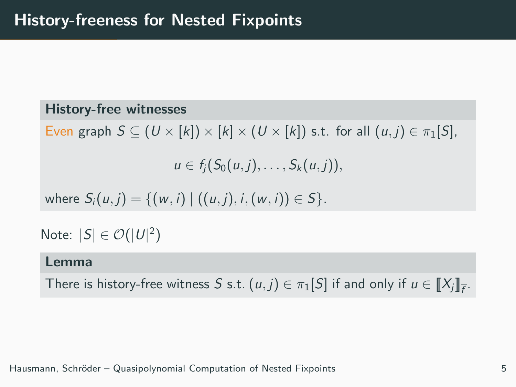### History-free witnesses

Even graph  $S \subseteq (U \times [k]) \times [k] \times (U \times [k])$  s.t. for all  $(u, j) \in \pi_1[S]$ ,

 $u \in f_i(S_0(u, i), \ldots, S_k(u, i)),$ 

where  $S_i(u, j) = \{(w, i) | ((u, j), i, (w, i)) \in S\}.$ 

Note:  $|S| \in \mathcal{O}(|U|^2)$ 

#### Lemma

There is history-free witness S s.t.  $(u, j) \in \pi_1[S]$  if and only if  $u \in [\![X_j]\!]_{\bar{f}}$ .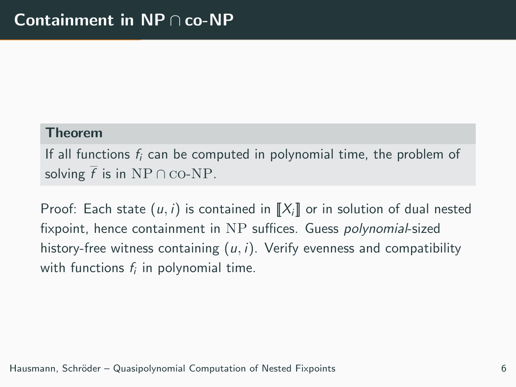### Theorem

If all functions  $f_i$  can be computed in polynomial time, the problem of solving  $\overline{f}$  is in NP ∩ co-NP.

Proof: Each state  $(u, i)$  is contained in  $\llbracket X_i \rrbracket$  or in solution of dual nested fixpoint, hence containment in NP suffices. Guess polynomial-sized history-free witness containing  $(u, i)$ . Verify evenness and compatibility with functions  $f_i$  in polynomial time.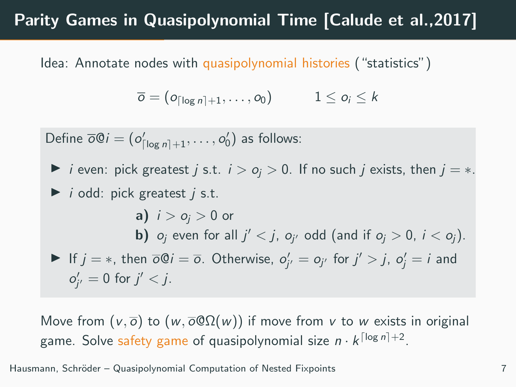## Parity Games in Quasipolynomial Time [Calude et al.,2017]

Idea: Annotate nodes with quasipolynomial histories ("statistics")

$$
\overline{o} = (o_{\lceil \log n \rceil + 1}, \ldots, o_0) \qquad \quad 1 \leq o_i \leq k
$$

Define  $\overline{o}\mathbb{Q}i = (o'_{\lceil \log n \rceil + 1}, \ldots, o'_{0})$  as follows:  $\triangleright$  *i* even: pick greatest *j* s.t. *i* >  $o_i$  > 0. If no such *j* exists, then *j* = \*.  $\triangleright$  *i* odd: pick greatest *i* s.t. a)  $i > o_i > 0$  or **b)**  $o_j$  even for all  $j' < j$ ,  $o_{j'}$  odd (and if  $o_j > 0$ ,  $i < o_j$ ). If  $j = *$ , then  $\overline{o}Qi = \overline{o}$ . Otherwise,  $o'_{j'} = o_{j'}$  for  $j' > j$ ,  $o'_{j} = i$  and  $o'_{j'} = 0$  for  $j' < j$ .

Move from  $(v, \overline{o})$  to  $(w, \overline{o} \mathbb{Q} \Omega(w))$  if move from v to w exists in original game. Solve safety game of quasipolynomial size  $n \cdot k^{\lceil \log n \rceil + 2}.$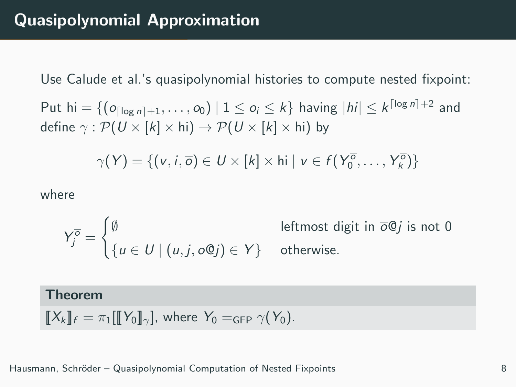Use Calude et al.'s quasipolynomial histories to compute nested fixpoint:

Put hi  $=\{(\bm{o}_{\lceil\log n\rceil+1},\ldots, \bm{o}_0)\mid 1\leq \bm{o}_i\leq k\}$  having  $|h i|\leq k^{\lceil\log n\rceil+2}$  and define  $\gamma : \mathcal{P}(U \times [k] \times \text{hi}) \rightarrow \mathcal{P}(U \times [k] \times \text{hi})$  by

$$
\gamma(Y) = \{ (v, i, \overline{\sigma}) \in U \times [k] \times \text{hi} \mid v \in f(Y_0^{\overline{\sigma}}, \dots, Y_k^{\overline{\sigma}}) \}
$$

where

$$
Y_j^{\overline{\sigma}} = \begin{cases} \emptyset & \text{leftmost digit in } \overline{\sigma} \mathbb{Q}j \text{ is not 0} \\ \{u \in U \mid (u, j, \overline{\sigma} \mathbb{Q}j) \in Y \} & \text{otherwise.} \end{cases}
$$

### Theorem

$$
\llbracket X_k \rrbracket_f = \pi_1[\llbracket Y_0 \rrbracket_\gamma], \text{ where } Y_0 =_{\text{GFP }} \gamma(Y_0).
$$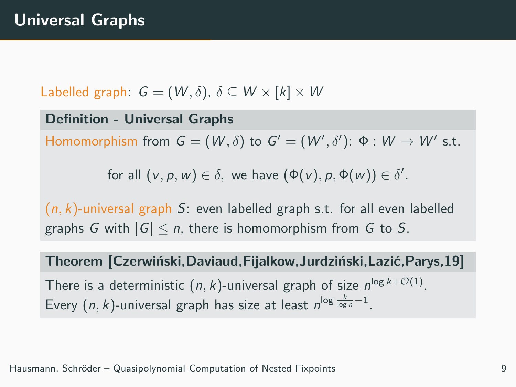Labelled graph:  $G = (W, \delta)$ ,  $\delta \subset W \times [k] \times W$ 

Definition - Universal Graphs Homomorphism from  $G = (W, \delta)$  to  $G' = (W', \delta')$ : Φ :  $W \to W'$  s.t.

for all  $(v, p, w) \in \delta$ , we have  $(\Phi(v), p, \Phi(w)) \in \delta'$ .

 $(n, k)$ -universal graph S: even labelled graph s.t. for all even labelled graphs G with  $|G| \le n$ , there is homomorphism from G to S.

Theorem [Czerwiński,Daviaud,Fijalkow,Jurdziński,Lazić,Parys,19]

There is a deterministic  $(n, k)$ -universal graph of size  $n^{\log k + \mathcal{O}(1)}$ . Every  $(n, k)$ -universal graph has size at least  $n^{\log \frac{k}{\log n}-1}$ .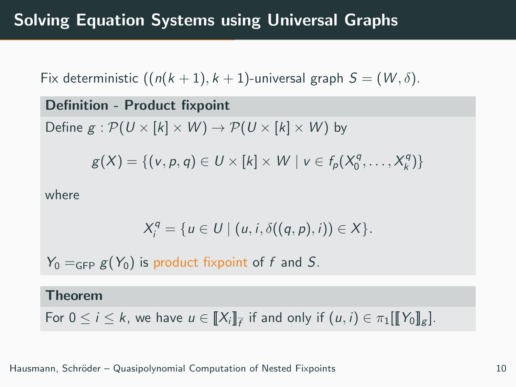Fix deterministic  $((n(k + 1), k + 1)$ -universal graph  $S = (W, \delta)$ .

Definition - Product fixpoint Define  $g : \mathcal{P}(U \times [k] \times W) \rightarrow \mathcal{P}(U \times [k] \times W)$  by  $g(X) = \{ (v, p, q) \in U \times [k] \times W \mid v \in f_p(X_0^q, \dots, X_k^q) \}$ 

where

$$
X_i^q = \{u \in U \mid (u, i, \delta((q, p), i)) \in X\}.
$$

 $Y_0 =_{GFP} g(Y_0)$  is product fixpoint of f and S.

#### Theorem

For  $0 \leq i \leq k$ , we have  $u \in [\![X_i]\!]_{\overline{f}}$  if and only if  $(u,i) \in \pi_1[\![\![Y_0]\!]_g]$ .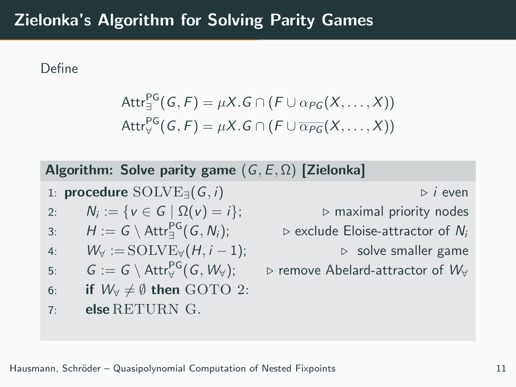## Zielonka's Algorithm for Solving Parity Games

Define

$$
Attr_{\exists}^{PG}(G, F) = \mu X.G \cap (F \cup \alpha_{PG}(X, ..., X))
$$
  
\n
$$
Attr_{\forall}^{PG}(G, F) = \mu X.G \cap (F \cup \overline{\alpha_{PG}}(X, ..., X))
$$

|  |  |  |  |  | Algorithm: Solve parity game $(G, E, \Omega)$ [Zielonka] |
|--|--|--|--|--|----------------------------------------------------------|
|--|--|--|--|--|----------------------------------------------------------|

1: **procedure**  $\text{SOLVE}_{\exists}(G, i)$  .  $\triangleright$  *i* even

2: 
$$
N_i := \{v \in G \mid \Omega(v) = i\};
$$

3: 
$$
H := G \setminus \text{Attr}_{\exists}^{\text{PG}}(G, N_i);
$$

4: 
$$
W_{\forall} := \text{SOLVE}_{\forall}(H, i-1);
$$

5: 
$$
G := G \setminus \text{Attr}_{\forall}^{\text{PG}}(G, W_{\forall});
$$

6: if 
$$
W_{\forall} \neq \emptyset
$$
 then GOTO 2:

7: else RETURN G.

 $▶$  maximal priority nodes

 $\triangleright$  exclude Eloise-attractor of  $N_i$ 

 $▶$  solve smaller game

 $\triangleright$  remove Abelard-attractor of  $W_{\forall}$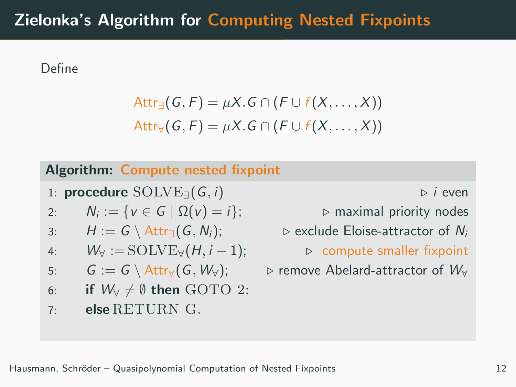## Zielonka's Algorithm for Computing Nested Fixpoints

Define

$$
Attr_{\exists}(G, F) = \mu X.G \cap (F \cup f(X, ..., X))
$$
  
Attr<sub>V</sub>(G, F) =  $\mu X.G \cap (F \cup \overline{f}(X, ..., X))$ 

## Algorithm: Compute nested fixpoint

1: **procedure**  $\text{SOLVE}_{\exists}(G, i)$  . i even

2: 
$$
N_i := \{v \in G \mid \Omega(v) = i\};
$$

3: 
$$
H := G \setminus \text{Attr}_{\exists}(G, N_i);
$$

4: 
$$
W_{\forall} := \text{SOLVE}_{\forall}(H, i-1);
$$

5: 
$$
G := G \setminus \text{Attr}_{\forall}(G, W_{\forall});
$$

6: if 
$$
W_{\forall} \neq \emptyset
$$
 then GOTO 2:

## 7: else RETURN G.

 $▶$  maximal priority nodes

⊵ exclude Eloise-attractor of Ni

 $▶$  compute smaller fixpoint

 $\triangleright$  remove Abelard-attractor of  $W_{\forall}$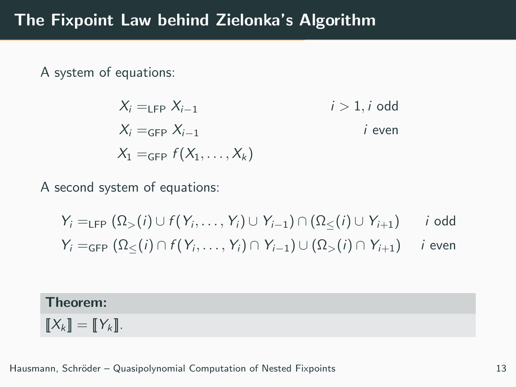A system of equations:

$$
X_i =_{\text{LFP}} X_{i-1} \qquad i > 1, i \text{ odd}
$$
\n
$$
X_i =_{\text{GFP}} X_{i-1} \qquad i \text{ even}
$$
\n
$$
X_1 =_{\text{GFP}} f(X_1, \dots, X_k)
$$

A second system of equations:

$$
Y_i =_{\text{LFP}} (\Omega_{>}(i) \cup f(Y_i, \dots, Y_i) \cup Y_{i-1}) \cap (\Omega_{\leq}(i) \cup Y_{i+1}) \quad i \text{ odd}
$$
  

$$
Y_i =_{\text{GFP}} (\Omega_{\leq}(i) \cap f(Y_i, \dots, Y_i) \cap Y_{i-1}) \cup (\Omega_{>}(i) \cap Y_{i+1}) \quad i \text{ even}
$$

## Theorem:

 $\llbracket X_k \rrbracket = \llbracket Y_k \rrbracket.$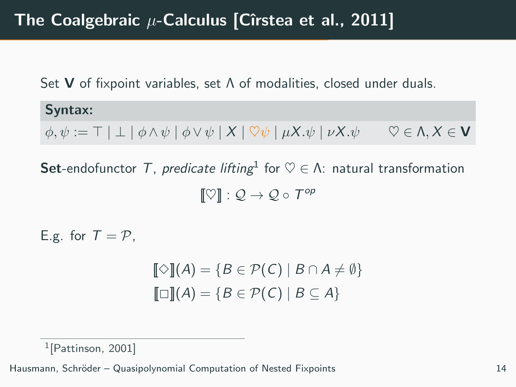Set **V** of fixpoint variables, set  $\Lambda$  of modalities, closed under duals.

Syntax:  $\phi, \psi := \top | \bot | \phi \wedge \psi | \phi \vee \psi | X | \nabla \psi | \mu X. \psi | \nu X. \psi \quad \nabla \in \Lambda, X \in \mathbf{V}$ 

**Set**-endofunctor  $\mathcal{T}$ , predicate lifting  $\mathcal{A} \in \mathcal{A}$ : natural transformation  $[\![ \heartsuit ]\!] : \mathcal{Q} \to \mathcal{Q} \circ \mathcal{T}^{op}$ 

E.g. for  $T = P$ .

 $[\![\diamondsuit]\!](A) = \{B \in \mathcal{P}(C) \mid B \cap A \neq \emptyset\}$  $\llbracket \Box \rrbracket(A) = \{ B \in \mathcal{P}(\mathcal{C}) \mid B \subseteq A \}$ 

<sup>1</sup>[Pattinson, 2001]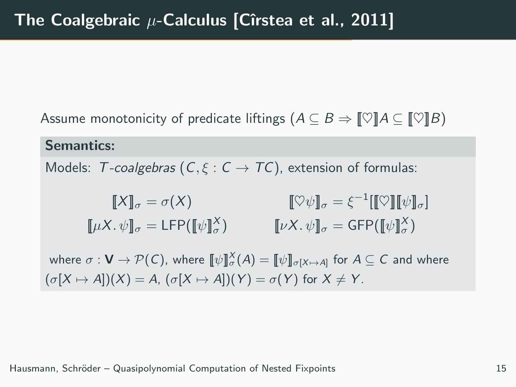Assume monotonicity of predicate liftings  $(A \subseteq B \Rightarrow \llbracket \heartsuit \rrbracket A \subseteq \llbracket \heartsuit \rrbracket B)$ 

#### Semantics:

Models: T-coalgebras  $(C, \xi : C \rightarrow TC)$ , extension of formulas:

$$
\llbracket X \rrbracket_{\sigma} = \sigma(X) \qquad \qquad \llbracket \heartsuit \psi \rrbracket_{\sigma} = \xi^{-1} [\llbracket \heartsuit \rrbracket [\psi]_{\sigma}]
$$

$$
\llbracket \mu X. \psi \rrbracket_{\sigma} = \text{LFP} (\llbracket \psi \rrbracket_{\sigma}^X) \qquad \qquad \llbracket \nu X. \psi \rrbracket_{\sigma} = \text{GFP} (\llbracket \psi \rrbracket_{\sigma}^X)
$$

where  $\sigma: \mathsf{V} \to \mathcal{P}(\mathsf{C}),$  where  $\llbracket \psi \rrbracket_{\sigma}^{\chi}(A) = \llbracket \psi \rrbracket_{\sigma[X \mapsto A]}$  for  $A \subseteq \mathsf{C}$  and where  $(\sigma[X \mapsto A])(X) = A$ ,  $(\sigma[X \mapsto A])(Y) = \sigma(Y)$  for  $X \neq Y$ .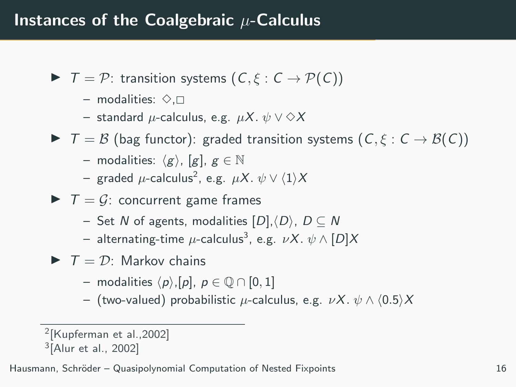- $\blacktriangleright$   $\top = \mathcal{P}$ : transition systems  $(C, \xi : C \rightarrow \mathcal{P}(C))$ 
	- modalities:  $\diamond$ . $\Box$
	- standard  $\mu$ -calculus, e.g.  $\mu X. \psi \vee \Diamond X$
- $\blacktriangleright$   $\top = \mathcal{B}$  (bag functor): graded transition systems  $(C, \xi : C \rightarrow \mathcal{B}(C))$ 
	- modalities:  $\langle g \rangle$ , [g],  $g \in \mathbb{N}$
	- $-$  graded  $\mu$ -calculus $^2$ , e.g.  $\mu X.\; \psi \vee \langle 1 \rangle X$
- $\blacktriangleright$   $\top = \mathcal{G}$ : concurrent game frames
	- Set N of agents, modalities  $[D], \langle D \rangle$ ,  $D \subseteq N$
	- $-$  alternating-time  $\mu$ -calculus $^3$ , e.g.  $\nu X.\; \psi\wedge [D]X$
- $\blacktriangleright$   $\top = \mathcal{D}$ : Markov chains
	- modalities  $\langle p \rangle$ ,[p],  $p \in \mathbb{O} \cap [0, 1]$
	- (two-valued) probabilistic  $\mu$ -calculus, e.g.  $\nu X. \psi \wedge (0.5)X$

<sup>2</sup> [Kupferman et al.,2002]

<sup>3</sup> [Alur et al., 2002]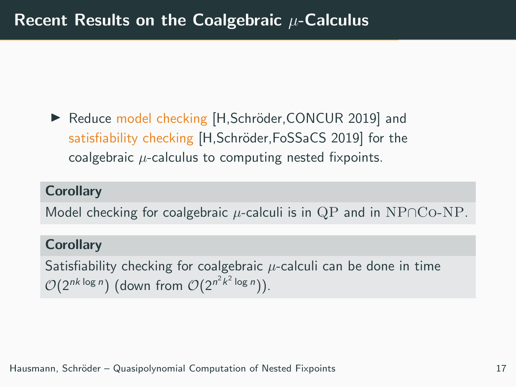▶ Reduce model checking [H,Schröder,CONCUR 2019] and satisfiability checking [H,Schröder,FoSSaCS 2019] for the coalgebraic  $\mu$ -calculus to computing nested fixpoints.

## **Corollary**

Model checking for coalgebraic  $\mu$ -calculi is in QP and in NP∩Co-NP.

#### **Corollary**

Satisfiability checking for coalgebraic  $\mu$ -calculi can be done in time  $\mathcal{O}(2^{nk \log n})$  (down from  $\mathcal{O}(2^{n^2 k^2 \log n})$ ).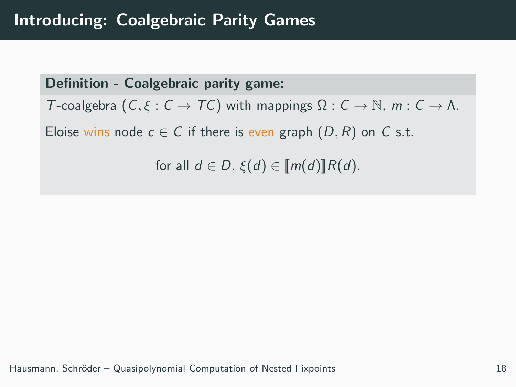Definition - Coalgebraic parity game: T-coalgebra  $(C, \xi : C \to TC)$  with mappings  $\Omega : C \to \mathbb{N}$ ,  $m : C \to \Lambda$ . Eloise wins node  $c \in C$  if there is even graph  $(D, R)$  on C s.t. for all  $d \in D$ ,  $\xi(d) \in [m(d)]R(d)$ .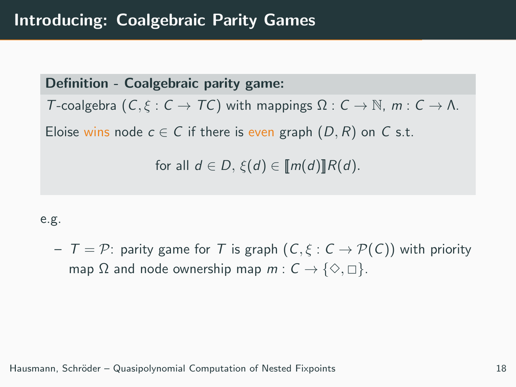Definition - Coalgebraic parity game: T-coalgebra  $(C, \xi : C \to TC)$  with mappings  $\Omega : C \to \mathbb{N}$ ,  $m : C \to \Lambda$ . Eloise wins node  $c \in C$  if there is even graph  $(D, R)$  on C s.t. for all  $d \in D$ ,  $\xi(d) \in [m(d)]R(d)$ .

#### e.g.

 $T = \mathcal{P}$ : parity game for T is graph  $(C, \xi : C \rightarrow \mathcal{P}(C))$  with priority map  $\Omega$  and node ownership map  $m: \mathcal{C} \to \{\diamondsuit, \square\}.$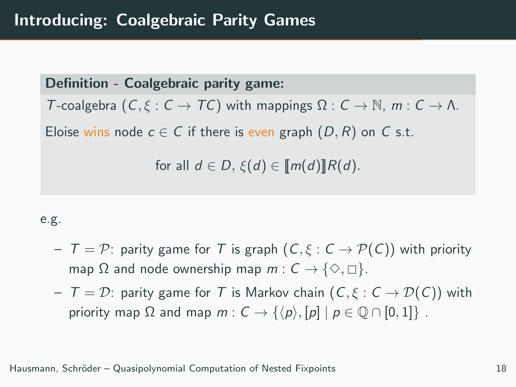Definition - Coalgebraic parity game: T-coalgebra  $(C, \xi : C \to TC)$  with mappings  $\Omega : C \to \mathbb{N}$ ,  $m : C \to \Lambda$ . Eloise wins node  $c \in C$  if there is even graph  $(D, R)$  on C s.t. for all  $d \in D$ ,  $\xi(d) \in [m(d)]R(d)$ .

#### e.g.

- $T = \mathcal{P}$ : parity game for T is graph  $(C, \xi : C \rightarrow \mathcal{P}(C))$  with priority map  $\Omega$  and node ownership map  $m: \mathcal{C} \to \{\diamondsuit, \square\}.$
- $T = D$ : parity game for T is Markov chain  $(C, \xi : C \rightarrow \mathcal{D}(C))$  with priority map  $\Omega$  and map  $m: C \rightarrow \{\langle p \rangle, [p] \mid p \in \mathbb{Q} \cap [0,1]\}$ .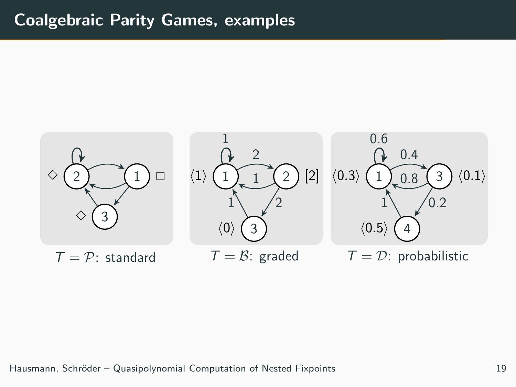## Coalgebraic Parity Games, examples

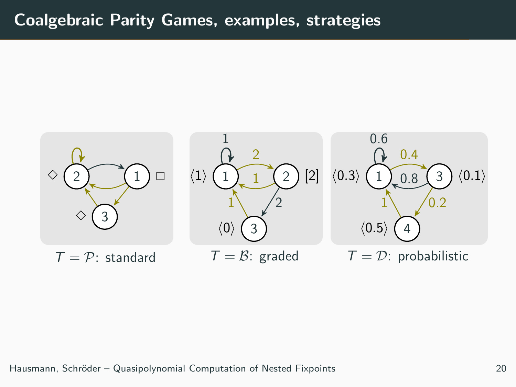## Coalgebraic Parity Games, examples, strategies

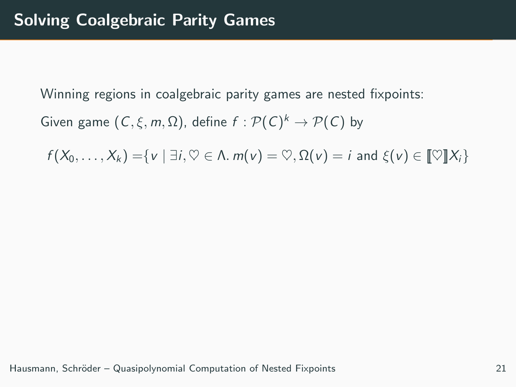Winning regions in coalgebraic parity games are nested fixpoints:

Given game  $(C, \xi, m, \Omega)$ , define  $f : \mathcal{P}(C)^k \to \mathcal{P}(C)$  by

 $f(X_0, \ldots, X_k) = \{v \mid \exists i, \heartsuit \in \Lambda, m(v) = \heartsuit, \Omega(v) = i \text{ and } \xi(v) \in \llbracket \heartsuit \rrbracket X_i\}$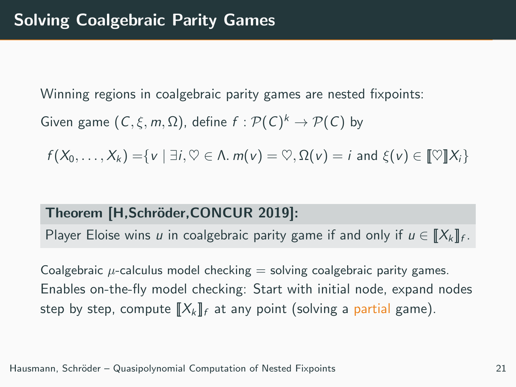Winning regions in coalgebraic parity games are nested fixpoints:

Given game  $(C, \xi, m, \Omega)$ , define  $f : \mathcal{P}(C)^k \to \mathcal{P}(C)$  by

 $f(X_0, \ldots, X_k) = \{v \mid \exists i, \forall \in \Lambda, m(v) = \forall, \Omega(v) = i \text{ and } \xi(v) \in \llbracket \forall \exists X_i \}$ 

### Theorem [H,Schröder,CONCUR 2019]:

Player Eloise wins u in coalgebraic parity game if and only if  $u \in [\![X_k]\!]_f$ .

Coalgebraic  $\mu$ -calculus model checking  $=$  solving coalgebraic parity games. Enables on-the-fly model checking: Start with initial node, expand nodes step by step, compute  $\llbracket X_k \rrbracket_f$  at any point (solving a partial game).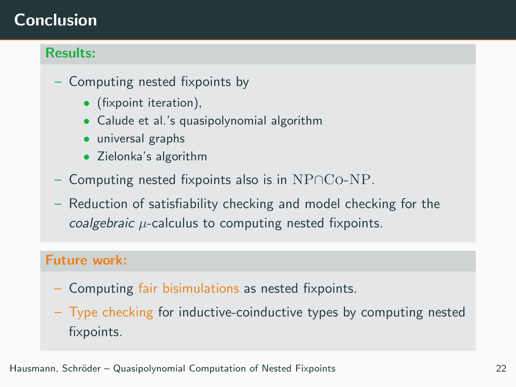# Conclusion

## Results:

- Computing nested fixpoints by
	- (fixpoint iteration),
	- Calude et al.'s quasipolynomial algorithm
	- universal graphs
	- Zielonka's algorithm
- Computing nested fixpoints also is in  $NPOCo-NP$ .
- Reduction of satisfiability checking and model checking for the coalgebraic  $\mu$ -calculus to computing nested fixpoints.

## Future work:

- Computing fair bisimulations as nested fixpoints.
- Type checking for inductive-coinductive types by computing nested fixpoints.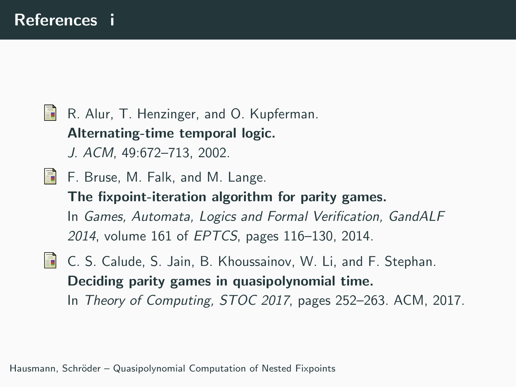# 品 R. Alur, T. Henzinger, and O. Kupferman. Alternating-time temporal logic. J. ACM, 49:672–713, 2002. F. Bruse, M. Falk, and M. Lange. The fixpoint-iteration algorithm for parity games. In Games, Automata, Logics and Formal Verification, GandALF 2014, volume 161 of EPTCS, pages 116–130, 2014.

**C. S. Calude, S. Jain, B. Khoussainov, W. Li, and F. Stephan.** Deciding parity games in quasipolynomial time. In Theory of Computing, STOC 2017, pages 252–263. ACM, 2017.